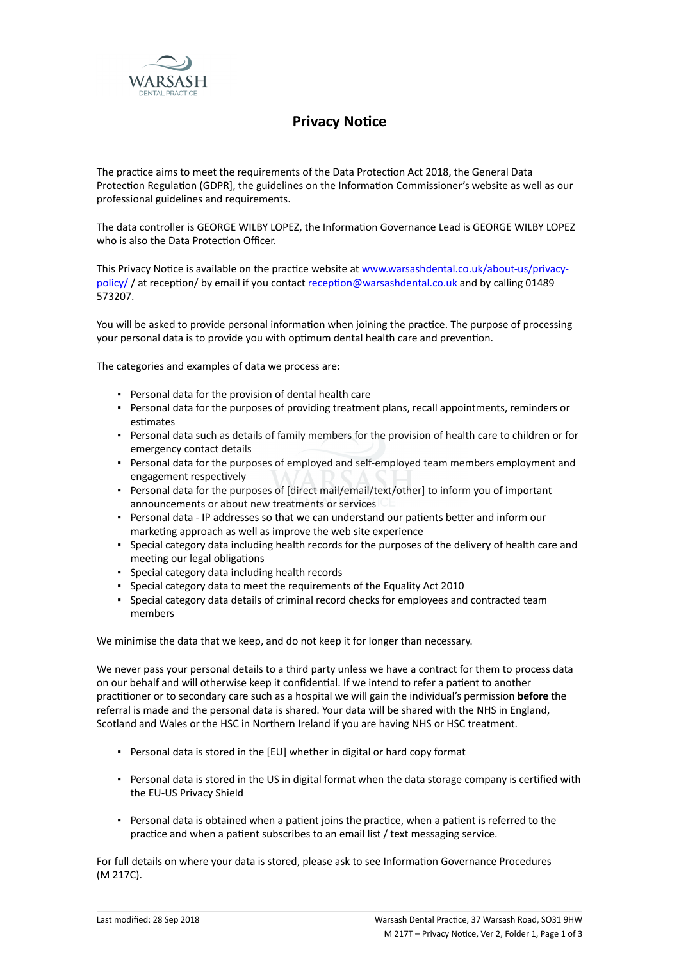

## **Privacy Notice**

The practice aims to meet the requirements of the Data Protection Act 2018, the General Data Protection Regulation (GDPR], the guidelines on the Information Commissioner's website as well as our professional guidelines and requirements.

The data controller is GEORGE WILBY LOPEZ, the Information Governance Lead is GEORGE WILBY LOPEZ who is also the Data Protection Officer.

This Privacy Notice is available on the practice website at [www.warsashdental.co.uk/about-us/privacy](http://www.warsashdental.co.uk/about-us/privacy-policy/)[policy/](http://www.warsashdental.co.uk/about-us/privacy-policy/)/ at reception/ by email if you contact reception@warsashdental.co.uk and by calling 01489 573207.

You will be asked to provide personal information when joining the practice. The purpose of processing your personal data is to provide you with optimum dental health care and prevention.

The categories and examples of data we process are:

- Personal data for the provision of dental health care
- Personal data for the purposes of providing treatment plans, recall appointments, reminders or estimates
- Personal data such as details of family members for the provision of health care to children or for emergency contact details
- Personal data for the purposes of employed and self-employed team members employment and engagement respectively
- Personal data for the purposes of [direct mail/email/text/other] to inform you of important announcements or about new treatments or services
- Personal data IP addresses so that we can understand our patients better and inform our marketing approach as well as improve the web site experience
- Special category data including health records for the purposes of the delivery of health care and meeting our legal obligations
- Special category data including health records
- Special category data to meet the requirements of the Equality Act 2010
- Special category data details of criminal record checks for employees and contracted team members

We minimise the data that we keep, and do not keep it for longer than necessary.

We never pass your personal details to a third party unless we have a contract for them to process data on our behalf and will otherwise keep it confidential. If we intend to refer a patient to another practitioner or to secondary care such as a hospital we will gain the individual's permission **before** the referral is made and the personal data is shared. Your data will be shared with the NHS in England, Scotland and Wales or the HSC in Northern Ireland if you are having NHS or HSC treatment.

- Personal data is stored in the [EU] whether in digital or hard copy format
- Personal data is stored in the US in digital format when the data storage company is certified with the EU-US Privacy Shield
- Personal data is obtained when a patient joins the practice, when a patient is referred to the practice and when a patient subscribes to an email list / text messaging service.

For full details on where your data is stored, please ask to see Information Governance Procedures (M 217C).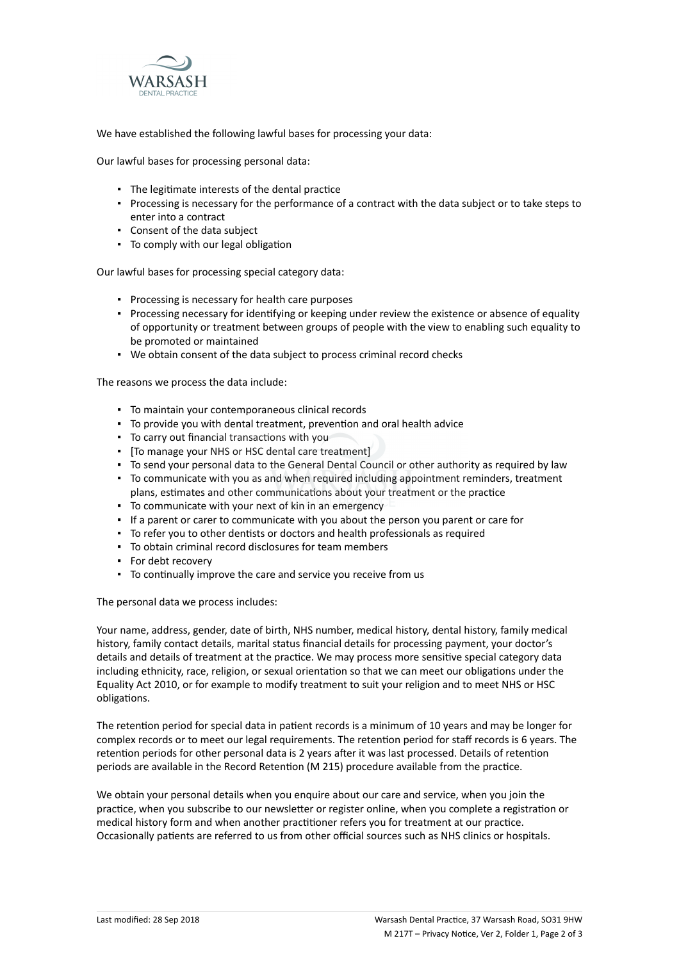

We have established the following lawful bases for processing your data:

Our lawful bases for processing personal data:

- The legitimate interests of the dental practice
- Processing is necessary for the performance of a contract with the data subject or to take steps to enter into a contract
- Consent of the data subject
- To comply with our legal obligation

Our lawful bases for processing special category data:

- Processing is necessary for health care purposes
- Processing necessary for identifying or keeping under review the existence or absence of equality of opportunity or treatment between groups of people with the view to enabling such equality to be promoted or maintained
- We obtain consent of the data subject to process criminal record checks

The reasons we process the data include:

- To maintain your contemporaneous clinical records
- To provide you with dental treatment, prevention and oral health advice
- To carry out financial transactions with you
- [To manage your NHS or HSC dental care treatment]
- To send your personal data to the General Dental Council or other authority as required by law
- To communicate with you as and when required including appointment reminders, treatment plans, estimates and other communications about your treatment or the practice
- To communicate with your next of kin in an emergency
- If a parent or carer to communicate with you about the person you parent or care for
- To refer you to other dentists or doctors and health professionals as required
- To obtain criminal record disclosures for team members
- For debt recovery
- To continually improve the care and service you receive from us

The personal data we process includes:

Your name, address, gender, date of birth, NHS number, medical history, dental history, family medical history, family contact details, marital status financial details for processing payment, your doctor's details and details of treatment at the practice. We may process more sensitive special category data including ethnicity, race, religion, or sexual orientation so that we can meet our obligations under the Equality Act 2010, or for example to modify treatment to suit your religion and to meet NHS or HSC obligations.

The retention period for special data in patient records is a minimum of 10 years and may be longer for complex records or to meet our legal requirements. The retention period for staff records is 6 years. The retention periods for other personal data is 2 years after it was last processed. Details of retention periods are available in the Record Retention (M 215) procedure available from the practice.

We obtain your personal details when you enquire about our care and service, when you join the practice, when you subscribe to our newsletter or register online, when you complete a registration or medical history form and when another practitioner refers you for treatment at our practice. Occasionally patients are referred to us from other official sources such as NHS clinics or hospitals.